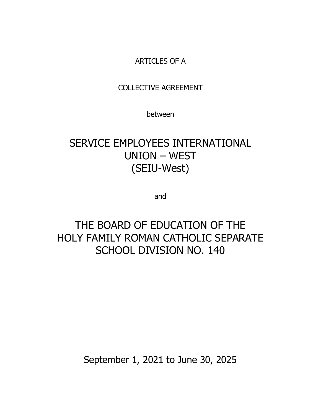# ARTICLES OF A

# COLLECTIVE AGREEMENT

between

# SERVICE EMPLOYEES INTERNATIONAL UNION – WEST (SEIU-West)

and

# THE BOARD OF EDUCATION OF THE HOLY FAMILY ROMAN CATHOLIC SEPARATE SCHOOL DIVISION NO. 140

September 1, 2021 to June 30, 2025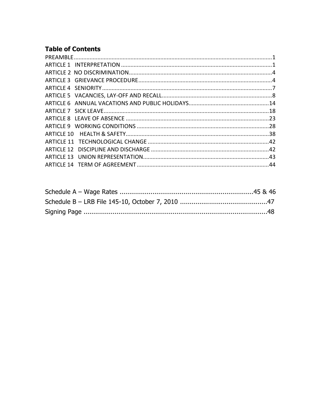# **Table of Contents**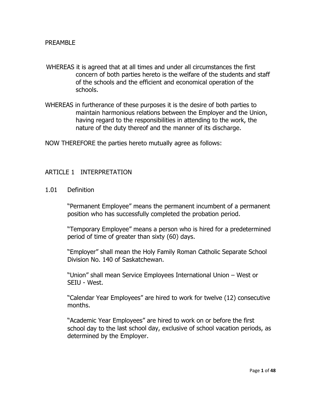- <span id="page-2-0"></span>WHEREAS it is agreed that at all times and under all circumstances the first concern of both parties hereto is the welfare of the students and staff of the schools and the efficient and economical operation of the schools.
- WHEREAS in furtherance of these purposes it is the desire of both parties to maintain harmonious relations between the Employer and the Union, having regard to the responsibilities in attending to the work, the nature of the duty thereof and the manner of its discharge.

NOW THEREFORE the parties hereto mutually agree as follows:

#### <span id="page-2-1"></span>ARTICLE 1 INTERPRETATION

1.01 Definition

"Permanent Employee" means the permanent incumbent of a permanent position who has successfully completed the probation period.

"Temporary Employee" means a person who is hired for a predetermined period of time of greater than sixty (60) days.

"Employer" shall mean the Holy Family Roman Catholic Separate School Division No. 140 of Saskatchewan.

"Union" shall mean Service Employees International Union – West or SEIU - West.

"Calendar Year Employees" are hired to work for twelve (12) consecutive months.

"Academic Year Employees" are hired to work on or before the first school day to the last school day, exclusive of school vacation periods, as determined by the Employer.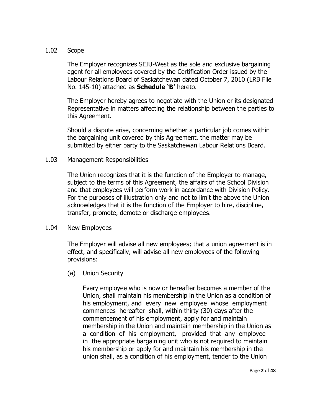# 1.02 Scope

The Employer recognizes SEIU-West as the sole and exclusive bargaining agent for all employees covered by the Certification Order issued by the Labour Relations Board of Saskatchewan dated October 7, 2010 (LRB File No. 145-10) attached as **Schedule 'B'** hereto.

The Employer hereby agrees to negotiate with the Union or its designated Representative in matters affecting the relationship between the parties to this Agreement.

Should a dispute arise, concerning whether a particular job comes within the bargaining unit covered by this Agreement, the matter may be submitted by either party to the Saskatchewan Labour Relations Board.

# 1.03 Management Responsibilities

The Union recognizes that it is the function of the Employer to manage, subject to the terms of this Agreement, the affairs of the School Division and that employees will perform work in accordance with Division Policy. For the purposes of illustration only and not to limit the above the Union acknowledges that it is the function of the Employer to hire, discipline, transfer, promote, demote or discharge employees.

# 1.04 New Employees

The Employer will advise all new employees; that a union agreement is in effect, and specifically, will advise all new employees of the following provisions:

# (a) Union Security

Every employee who is now or hereafter becomes a member of the Union, shall maintain his membership in the Union as a condition of his employment, and every new employee whose employment commences hereafter shall, within thirty (30) days after the commencement of his employment, apply for and maintain membership in the Union and maintain membership in the Union as a condition of his employment, provided that any employee in the appropriate bargaining unit who is not required to maintain his membership or apply for and maintain his membership in the union shall, as a condition of his employment, tender to the Union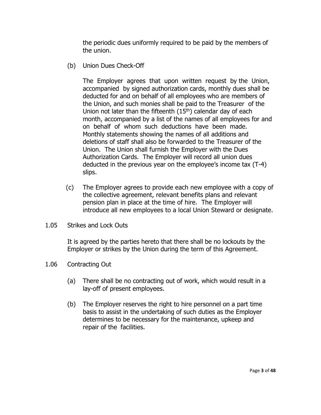the periodic dues uniformly required to be paid by the members of the union.

(b) Union Dues Check-Off

The Employer agrees that upon written request by the Union, accompanied by signed authorization cards, monthly dues shall be deducted for and on behalf of all employees who are members of the Union, and such monies shall be paid to the Treasurer of the Union not later than the fifteenth  $(15<sup>th</sup>)$  calendar day of each month, accompanied by a list of the names of all employees for and on behalf of whom such deductions have been made. Monthly statements showing the names of all additions and deletions of staff shall also be forwarded to the Treasurer of the Union. The Union shall furnish the Employer with the Dues Authorization Cards. The Employer will record all union dues deducted in the previous year on the employee's income tax (T-4) slips.

- (c) The Employer agrees to provide each new employee with a copy of the collective agreement, relevant benefits plans and relevant pension plan in place at the time of hire. The Employer will introduce all new employees to a local Union Steward or designate.
- 1.05 Strikes and Lock Outs

It is agreed by the parties hereto that there shall be no lockouts by the Employer or strikes by the Union during the term of this Agreement.

- 1.06 Contracting Out
	- (a) There shall be no contracting out of work, which would result in a lay-off of present employees.
	- (b) The Employer reserves the right to hire personnel on a part time basis to assist in the undertaking of such duties as the Employer determines to be necessary for the maintenance, upkeep and repair of the facilities.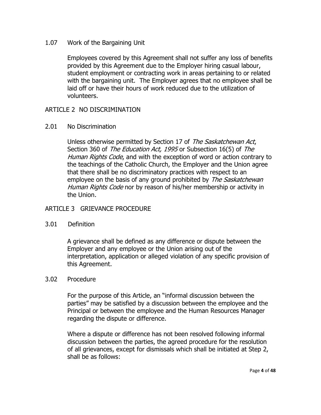1.07 Work of the Bargaining Unit

Employees covered by this Agreement shall not suffer any loss of benefits provided by this Agreement due to the Employer hiring casual labour, student employment or contracting work in areas pertaining to or related with the bargaining unit. The Employer agrees that no employee shall be laid off or have their hours of work reduced due to the utilization of volunteers.

# <span id="page-5-0"></span>ARTICLE 2 NO DISCRIMINATION

#### 2.01 No Discrimination

Unless otherwise permitted by Section 17 of The Saskatchewan Act, Section 360 of The Education Act, 1995 or Subsection 16(5) of The Human Rights Code, and with the exception of word or action contrary to the teachings of the Catholic Church, the Employer and the Union agree that there shall be no discriminatory practices with respect to an employee on the basis of any ground prohibited by The Saskatchewan Human Rights Code nor by reason of his/her membership or activity in the Union.

# <span id="page-5-1"></span>ARTICLE 3 GRIEVANCE PROCEDURE

# 3.01 Definition

A grievance shall be defined as any difference or dispute between the Employer and any employee or the Union arising out of the interpretation, application or alleged violation of any specific provision of this Agreement.

# 3.02 Procedure

For the purpose of this Article, an "informal discussion between the parties" may be satisfied by a discussion between the employee and the Principal or between the employee and the Human Resources Manager regarding the dispute or difference.

Where a dispute or difference has not been resolved following informal discussion between the parties, the agreed procedure for the resolution of all grievances, except for dismissals which shall be initiated at Step 2, shall be as follows: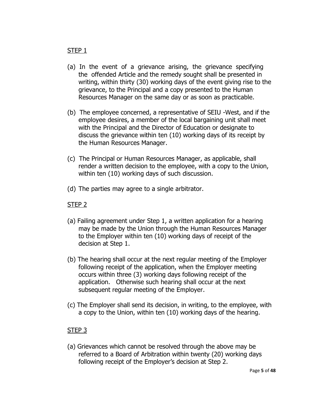# STEP 1

- (a) In the event of a grievance arising, the grievance specifying the offended Article and the remedy sought shall be presented in writing, within thirty (30) working days of the event giving rise to the grievance, to the Principal and a copy presented to the Human Resources Manager on the same day or as soon as practicable.
- (b) The employee concerned, a representative of SEIU -West, and if the employee desires, a member of the local bargaining unit shall meet with the Principal and the Director of Education or designate to discuss the grievance within ten (10) working days of its receipt by the Human Resources Manager.
- (c) The Principal or Human Resources Manager, as applicable, shall render a written decision to the employee, with a copy to the Union, within ten (10) working days of such discussion.
- (d) The parties may agree to a single arbitrator.

# STEP 2

- (a) Failing agreement under Step 1, a written application for a hearing may be made by the Union through the Human Resources Manager to the Employer within ten (10) working days of receipt of the decision at Step 1.
- (b) The hearing shall occur at the next regular meeting of the Employer following receipt of the application, when the Employer meeting occurs within three (3) working days following receipt of the application. Otherwise such hearing shall occur at the next subsequent regular meeting of the Employer.
- (c) The Employer shall send its decision, in writing, to the employee, with a copy to the Union, within ten (10) working days of the hearing.

# STEP 3

(a) Grievances which cannot be resolved through the above may be referred to a Board of Arbitration within twenty (20) working days following receipt of the Employer's decision at Step 2.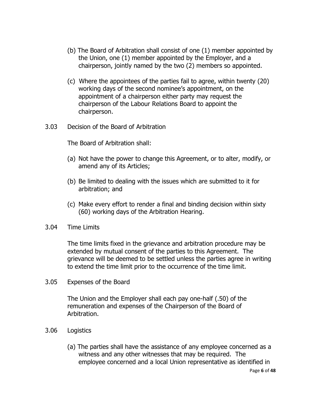- (b) The Board of Arbitration shall consist of one (1) member appointed by the Union, one (1) member appointed by the Employer, and a chairperson, jointly named by the two (2) members so appointed.
- (c) Where the appointees of the parties fail to agree, within twenty (20) working days of the second nominee's appointment, on the appointment of a chairperson either party may request the chairperson of the Labour Relations Board to appoint the chairperson.
- 3.03 Decision of the Board of Arbitration

The Board of Arbitration shall:

- (a) Not have the power to change this Agreement, or to alter, modify, or amend any of its Articles;
- (b) Be limited to dealing with the issues which are submitted to it for arbitration; and
- (c) Make every effort to render a final and binding decision within sixty (60) working days of the Arbitration Hearing.
- 3.04 Time Limits

The time limits fixed in the grievance and arbitration procedure may be extended by mutual consent of the parties to this Agreement. The grievance will be deemed to be settled unless the parties agree in writing to extend the time limit prior to the occurrence of the time limit.

3.05 Expenses of the Board

The Union and the Employer shall each pay one-half (.50) of the remuneration and expenses of the Chairperson of the Board of Arbitration.

- 3.06 Logistics
	- Page **6** of **48** (a) The parties shall have the assistance of any employee concerned as a witness and any other witnesses that may be required. The employee concerned and a local Union representative as identified in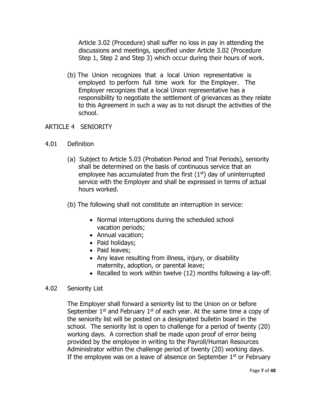Article 3.02 (Procedure) shall suffer no loss in pay in attending the discussions and meetings, specified under Article 3.02 (Procedure Step 1, Step 2 and Step 3) which occur during their hours of work.

(b) The Union recognizes that a local Union representative is employed to perform full time work for the Employer. The Employer recognizes that a local Union representative has a responsibility to negotiate the settlement of grievances as they relate to this Agreement in such a way as to not disrupt the activities of the school.

# <span id="page-8-0"></span>ARTICLE 4 SENIORITY

- 4.01 Definition
	- (a) Subject to Article 5.03 (Probation Period and Trial Periods), seniority shall be determined on the basis of continuous service that an employee has accumulated from the first  $(1<sup>st</sup>)$  day of uninterrupted service with the Employer and shall be expressed in terms of actual hours worked.
	- (b) The following shall not constitute an interruption in service:
		- Normal interruptions during the scheduled school vacation periods;
		- Annual vacation:
		- Paid holidays;
		- Paid leaves;
		- Any leave resulting from illness, injury, or disability maternity, adoption, or parental leave;
		- Recalled to work within twelve  $(12)$  months following a lay-off.

# 4.02 Seniority List

The Employer shall forward a seniority list to the Union on or before September  $1<sup>st</sup>$  and February  $1<sup>st</sup>$  of each year. At the same time a copy of the seniority list will be posted on a designated bulletin board in the school. The seniority list is open to challenge for a period of twenty (20) working days. A correction shall be made upon proof of error being provided by the employee in writing to the Payroll/Human Resources Administrator within the challenge period of twenty (20) working days. If the employee was on a leave of absence on September  $1<sup>st</sup>$  or February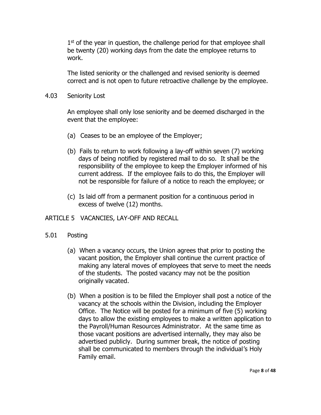1<sup>st</sup> of the year in question, the challenge period for that employee shall be twenty (20) working days from the date the employee returns to work.

The listed seniority or the challenged and revised seniority is deemed correct and is not open to future retroactive challenge by the employee.

4.03 Seniority Lost

An employee shall only lose seniority and be deemed discharged in the event that the employee:

- (a) Ceases to be an employee of the Employer;
- (b) Fails to return to work following a lay-off within seven (7) working days of being notified by registered mail to do so. It shall be the responsibility of the employee to keep the Employer informed of his current address. If the employee fails to do this, the Employer will not be responsible for failure of a notice to reach the employee; or
- (c) Is laid off from a permanent position for a continuous period in excess of twelve (12) months.

# <span id="page-9-0"></span>ARTICLE 5 VACANCIES, LAY-OFF AND RECALL

# 5.01 Posting

- (a) When a vacancy occurs, the Union agrees that prior to posting the vacant position, the Employer shall continue the current practice of making any lateral moves of employees that serve to meet the needs of the students. The posted vacancy may not be the position originally vacated.
- (b) When a position is to be filled the Employer shall post a notice of the vacancy at the schools within the Division, including the Employer Office. The Notice will be posted for a minimum of five (5) working days to allow the existing employees to make a written application to the Payroll/Human Resources Administrator. At the same time as those vacant positions are advertised internally, they may also be advertised publicly. During summer break, the notice of posting shall be communicated to members through the individual's Holy Family email.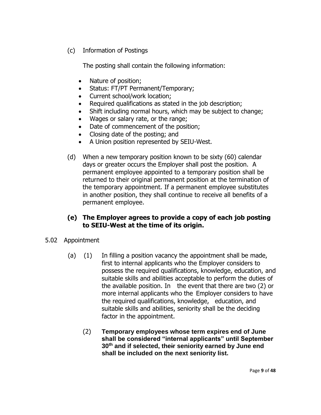(c) Information of Postings

The posting shall contain the following information:

- Nature of position;
- Status: FT/PT Permanent/Temporary;
- Current school/work location;
- Required qualifications as stated in the job description;
- Shift including normal hours, which may be subject to change;
- Wages or salary rate, or the range;
- Date of commencement of the position;
- Closing date of the posting; and
- A Union position represented by SEIU-West.
- (d) When a new temporary position known to be sixty (60) calendar days or greater occurs the Employer shall post the position. A permanent employee appointed to a temporary position shall be returned to their original permanent position at the termination of the temporary appointment. If a permanent employee substitutes in another position, they shall continue to receive all benefits of a permanent employee.

# **(e) The Employer agrees to provide a copy of each job posting to SEIU-West at the time of its origin.**

- 5.02 Appointment
	- (a) (1) In filling a position vacancy the appointment shall be made, first to internal applicants who the Employer considers to possess the required qualifications, knowledge, education, and suitable skills and abilities acceptable to perform the duties of the available position. In the event that there are two (2) or more internal applicants who the Employer considers to have the required qualifications, knowledge, education, and suitable skills and abilities, seniority shall be the deciding factor in the appointment.
		- (2) **Temporary employees whose term expires end of June shall be considered "internal applicants" until September 30th and if selected, their seniority earned by June end shall be included on the next seniority list.**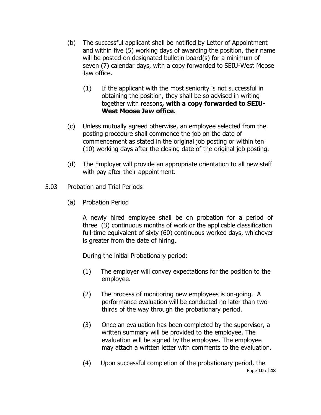- (b) The successful applicant shall be notified by Letter of Appointment and within five (5) working days of awarding the position, their name will be posted on designated bulletin board(s) for a minimum of seven (7) calendar days, with a copy forwarded to SEIU-West Moose Jaw office.
	- (1) If the applicant with the most seniority is not successful in obtaining the position, they shall be so advised in writing together with reasons**, with a copy forwarded to SEIU-West Moose Jaw office**.
- (c) Unless mutually agreed otherwise, an employee selected from the posting procedure shall commence the job on the date of commencement as stated in the original job posting or within ten (10) working days after the closing date of the original job posting.
- (d) The Employer will provide an appropriate orientation to all new staff with pay after their appointment.
- 5.03 Probation and Trial Periods
	- (a) Probation Period

A newly hired employee shall be on probation for a period of three (3) continuous months of work or the applicable classification full-time equivalent of sixty (60) continuous worked days, whichever is greater from the date of hiring.

During the initial Probationary period:

- (1) The employer will convey expectations for the position to the employee.
- (2) The process of monitoring new employees is on-going. A performance evaluation will be conducted no later than twothirds of the way through the probationary period.
- (3) Once an evaluation has been completed by the supervisor, a written summary will be provided to the employee. The evaluation will be signed by the employee. The employee may attach a written letter with comments to the evaluation.
- Page **10** of **48** (4) Upon successful completion of the probationary period, the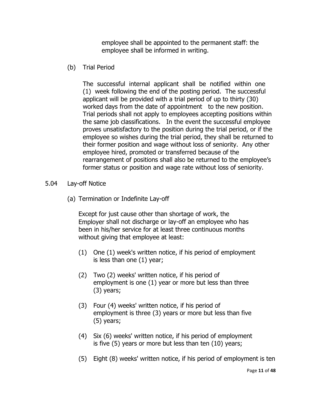employee shall be appointed to the permanent staff: the employee shall be informed in writing.

(b) Trial Period

The successful internal applicant shall be notified within one (1) week following the end of the posting period. The successful applicant will be provided with a trial period of up to thirty (30) worked days from the date of appointment to the new position. Trial periods shall not apply to employees accepting positions within the same job classifications. In the event the successful employee proves unsatisfactory to the position during the trial period, or if the employee so wishes during the trial period, they shall be returned to their former position and wage without loss of seniority. Any other employee hired, promoted or transferred because of the rearrangement of positions shall also be returned to the employee's former status or position and wage rate without loss of seniority.

- 5.04 Lay-off Notice
	- (a) Termination or Indefinite Lay-off

Except for just cause other than shortage of work, the Employer shall not discharge or lay-off an employee who has been in his/her service for at least three continuous months without giving that employee at least:

- (1) One (1) week's written notice, if his period of employment is less than one (1) year;
- (2) Two (2) weeks' written notice, if his period of employment is one (1) year or more but less than three (3) years;
- (3) Four (4) weeks' written notice, if his period of employment is three (3) years or more but less than five (5) years;
- (4) Six (6) weeks' written notice, if his period of employment is five (5) years or more but less than ten (10) years;
- (5) Eight (8) weeks' written notice, if his period of employment is ten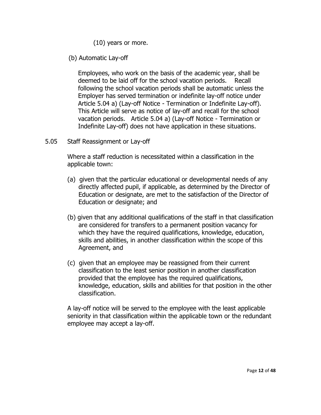- (10) years or more.
- (b) Automatic Lay-off

Employees, who work on the basis of the academic year, shall be deemed to be laid off for the school vacation periods. Recall following the school vacation periods shall be automatic unless the Employer has served termination or indefinite lay-off notice under Article 5.04 a) (Lay-off Notice - Termination or Indefinite Lay-off). This Article will serve as notice of lay-off and recall for the school vacation periods. Article 5.04 a) (Lay-off Notice - Termination or Indefinite Lay-off) does not have application in these situations.

5.05 Staff Reassignment or Lay-off

Where a staff reduction is necessitated within a classification in the applicable town:

- (a) given that the particular educational or developmental needs of any directly affected pupil, if applicable, as determined by the Director of Education or designate, are met to the satisfaction of the Director of Education or designate; and
- (b) given that any additional qualifications of the staff in that classification are considered for transfers to a permanent position vacancy for which they have the required qualifications, knowledge, education, skills and abilities, in another classification within the scope of this Agreement, and
- (c) given that an employee may be reassigned from their current classification to the least senior position in another classification provided that the employee has the required qualifications, knowledge, education, skills and abilities for that position in the other classification.

A lay-off notice will be served to the employee with the least applicable seniority in that classification within the applicable town or the redundant employee may accept a lay-off.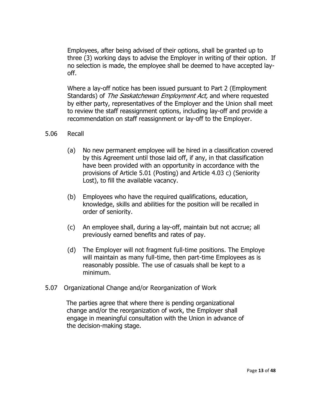Employees, after being advised of their options, shall be granted up to three (3) working days to advise the Employer in writing of their option. If no selection is made, the employee shall be deemed to have accepted layoff.

Where a lay-off notice has been issued pursuant to Part 2 (Employment Standards) of The Saskatchewan Employment Act, and where requested by either party, representatives of the Employer and the Union shall meet to review the staff reassignment options, including lay-off and provide a recommendation on staff reassignment or lay-off to the Employer.

# 5.06 Recall

- (a) No new permanent employee will be hired in a classification covered by this Agreement until those laid off, if any, in that classification have been provided with an opportunity in accordance with the provisions of Article 5.01 (Posting) and Article 4.03 c) (Seniority Lost), to fill the available vacancy.
- (b) Employees who have the required qualifications, education, knowledge, skills and abilities for the position will be recalled in order of seniority.
- (c) An employee shall, during a lay-off, maintain but not accrue; all previously earned benefits and rates of pay.
- (d) The Employer will not fragment full-time positions. The Employe will maintain as many full-time, then part-time Employees as is reasonably possible. The use of casuals shall be kept to a minimum.
- 5.07 Organizational Change and/or Reorganization of Work

The parties agree that where there is pending organizational change and/or the reorganization of work, the Employer shall engage in meaningful consultation with the Union in advance of the decision-making stage.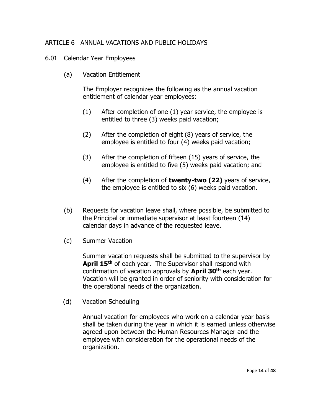# <span id="page-15-0"></span>ARTICLE 6 ANNUAL VACATIONS AND PUBLIC HOLIDAYS

- 6.01 Calendar Year Employees
	- (a) Vacation Entitlement

The Employer recognizes the following as the annual vacation entitlement of calendar year employees:

- (1) After completion of one (1) year service, the employee is entitled to three (3) weeks paid vacation;
- (2) After the completion of eight (8) years of service, the employee is entitled to four (4) weeks paid vacation;
- (3) After the completion of fifteen (15) years of service, the employee is entitled to five (5) weeks paid vacation; and
- (4) After the completion of **twenty-two (22)** years of service, the employee is entitled to six (6) weeks paid vacation.
- (b) Requests for vacation leave shall, where possible, be submitted to the Principal or immediate supervisor at least fourteen (14) calendar days in advance of the requested leave.
- (c) Summer Vacation

Summer vacation requests shall be submitted to the supervisor by **April 15th** of each year. The Supervisor shall respond with confirmation of vacation approvals by **April 30th** each year. Vacation will be granted in order of seniority with consideration for the operational needs of the organization.

(d) Vacation Scheduling

Annual vacation for employees who work on a calendar year basis shall be taken during the year in which it is earned unless otherwise agreed upon between the Human Resources Manager and the employee with consideration for the operational needs of the organization.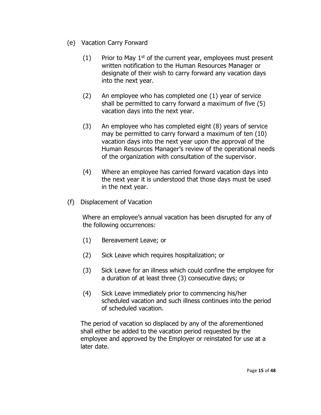- (e) Vacation Carry Forward
	- (1) Prior to May  $1^{st}$  of the current year, employees must present written notification to the Human Resources Manager or designate of their wish to carry forward any vacation days into the next year.
	- (2) An employee who has completed one (1) year of service shall be permitted to carry forward a maximum of five (5) vacation days into the next year.
	- (3) An employee who has completed eight (8) years of service may be permitted to carry forward a maximum of ten (10) vacation days into the next year upon the approval of the Human Resources Manager's review of the operational needs of the organization with consultation of the supervisor.
	- (4) Where an employee has carried forward vacation days into the next year it is understood that those days must be used in the next year.
- (f) Displacement of Vacation

Where an employee's annual vacation has been disrupted for any of the following occurrences:

- (1) Bereavement Leave; or
- (2) Sick Leave which requires hospitalization; or
- (3) Sick Leave for an illness which could confine the employee for a duration of at least three (3) consecutive days; or
- (4) Sick Leave immediately prior to commencing his/her scheduled vacation and such illness continues into the period of scheduled vacation.

The period of vacation so displaced by any of the aforementioned shall either be added to the vacation period requested by the employee and approved by the Employer or reinstated for use at a later date.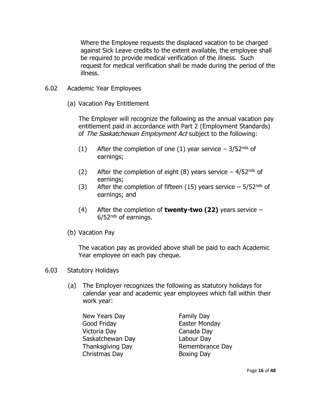Where the Employee requests the displaced vacation to be charged against Sick Leave credits to the extent available, the employee shall be required to provide medical verification of the illness. Such request for medical verification shall be made during the period of the illness.

- 6.02 Academic Year Employees
	- (a) Vacation Pay Entitlement

The Employer will recognize the following as the annual vacation pay entitlement paid in accordance with Part 2 (Employment Standards) of The Saskatchewan Employment Act subject to the following:

- (1) After the completion of one (1) year service  $-3/52<sup>nds</sup>$  of earnings;
- (2) After the completion of eight (8) years service  $-4/52<sup>nds</sup>$  of earnings;
- (3) After the completion of fifteen (15) years service  $-5/52<sup>nds</sup>$  of earnings; and
- (4) After the completion of **twenty-two (22)** years service  $6/52<sup>nds</sup>$  of earnings.
- (b) Vacation Pay

The vacation pay as provided above shall be paid to each Academic Year employee on each pay cheque.

# 6.03 Statutory Holidays

 (a) The Employer recognizes the following as statutory holidays for calendar year and academic year employees which fall within their work year:

New Years Day **Family Day** Good Friday **Easter Monday**  Victoria Day Canada Day Saskatchewan Day Labour Day Christmas Day Boxing Day

Thanksgiving Day **Remembrance Day**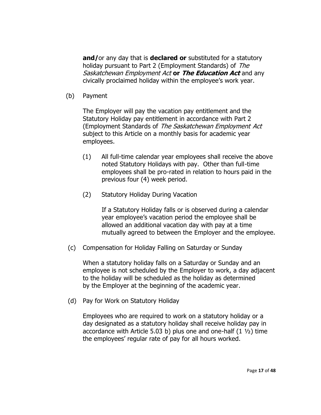**and/**or any day that is **declared or** substituted for a statutory holiday pursuant to Part 2 (Employment Standards) of The Saskatchewan Employment Act **or The Education Act** and any civically proclaimed holiday within the employee's work year.

(b) Payment

The Employer will pay the vacation pay entitlement and the Statutory Holiday pay entitlement in accordance with Part 2 (Employment Standards of The Saskatchewan Employment Act subject to this Article on a monthly basis for academic year employees.

- (1) All full-time calendar year employees shall receive the above noted Statutory Holidays with pay. Other than full-time employees shall be pro-rated in relation to hours paid in the previous four (4) week period.
- (2) Statutory Holiday During Vacation

If a Statutory Holiday falls or is observed during a calendar year employee's vacation period the employee shall be allowed an additional vacation day with pay at a time mutually agreed to between the Employer and the employee.

(c) Compensation for Holiday Falling on Saturday or Sunday

When a statutory holiday falls on a Saturday or Sunday and an employee is not scheduled by the Employer to work, a day adjacent to the holiday will be scheduled as the holiday as determined by the Employer at the beginning of the academic year.

(d) Pay for Work on Statutory Holiday

Employees who are required to work on a statutory holiday or a day designated as a statutory holiday shall receive holiday pay in accordance with Article 5.03 b) plus one and one-half  $(1 \frac{1}{2})$  time the employees' regular rate of pay for all hours worked.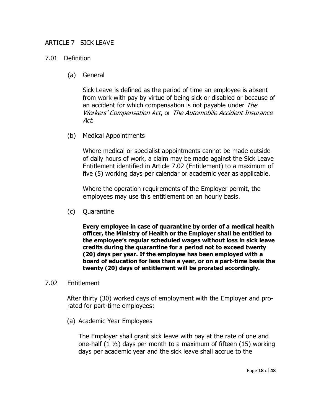# <span id="page-19-0"></span>ARTICLE 7 SICK LEAVE

# 7.01 Definition

(a) General

Sick Leave is defined as the period of time an employee is absent from work with pay by virtue of being sick or disabled or because of an accident for which compensation is not payable under The Workers' Compensation Act, or The Automobile Accident Insurance Act.

(b) Medical Appointments

Where medical or specialist appointments cannot be made outside of daily hours of work, a claim may be made against the Sick Leave Entitlement identified in Article 7.02 (Entitlement) to a maximum of five (5) working days per calendar or academic year as applicable.

Where the operation requirements of the Employer permit, the employees may use this entitlement on an hourly basis.

(c) Quarantine

**Every employee in case of quarantine by order of a medical health officer, the Ministry of Health or the Employer shall be entitled to the employee's regular scheduled wages without loss in sick leave credits during the quarantine for a period not to exceed twenty (20) days per year. If the employee has been employed with a board of education for less than a year, or on a part-time basis the twenty (20) days of entitlement will be prorated accordingly.**

# 7.02 Entitlement

After thirty (30) worked days of employment with the Employer and prorated for part-time employees:

(a) Academic Year Employees

The Employer shall grant sick leave with pay at the rate of one and one-half (1 ½) days per month to a maximum of fifteen (15) working days per academic year and the sick leave shall accrue to the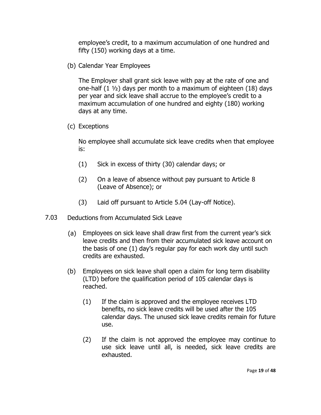employee's credit, to a maximum accumulation of one hundred and fifty (150) working days at a time.

(b) Calendar Year Employees

The Employer shall grant sick leave with pay at the rate of one and one-half  $(1 \frac{1}{2})$  days per month to a maximum of eighteen  $(18)$  days per year and sick leave shall accrue to the employee's credit to a maximum accumulation of one hundred and eighty (180) working days at any time.

(c) Exceptions

No employee shall accumulate sick leave credits when that employee is:

- (1) Sick in excess of thirty (30) calendar days; or
- (2) On a leave of absence without pay pursuant to Article 8 (Leave of Absence); or
- (3) Laid off pursuant to Article 5.04 (Lay-off Notice).
- 7.03 Deductions from Accumulated Sick Leave
	- (a) Employees on sick leave shall draw first from the current year's sick leave credits and then from their accumulated sick leave account on the basis of one (1) day's regular pay for each work day until such credits are exhausted.
	- (b) Employees on sick leave shall open a claim for long term disability (LTD) before the qualification period of 105 calendar days is reached.
		- (1) If the claim is approved and the employee receives LTD benefits, no sick leave credits will be used after the 105 calendar days. The unused sick leave credits remain for future use.
		- (2) If the claim is not approved the employee may continue to use sick leave until all, is needed, sick leave credits are exhausted.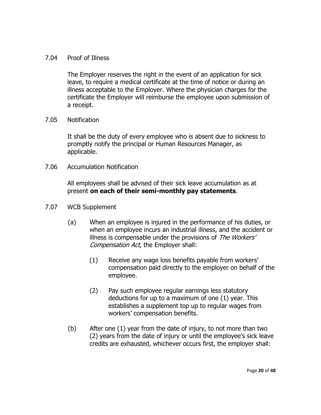# 7.04 Proof of Illness

The Employer reserves the right in the event of an application for sick leave, to require a medical certificate at the time of notice or during an illness acceptable to the Employer. Where the physician charges for the certificate the Employer will reimburse the employee upon submission of a receipt.

# 7.05 Notification

It shall be the duty of every employee who is absent due to sickness to promptly notify the principal or Human Resources Manager, as applicable.

7.06 Accumulation Notification

All employees shall be advised of their sick leave accumulation as at present **on each of their semi-monthly pay statements**.

- 7.07 WCB Supplement
	- (a) When an employee is injured in the performance of his duties, or when an employee incurs an industrial illness, and the accident or illness is compensable under the provisions of The Workers' Compensation Act, the Employer shall:
		- (1) Receive any wage loss benefits payable from workers' compensation paid directly to the employer on behalf of the employee.
		- (2) Pay such employee regular earnings less statutory deductions for up to a maximum of one (1) year. This establishes a supplement top up to regular wages from workers' compensation benefits.
	- (b) After one (1) year from the date of injury, to not more than two (2) years from the date of injury or until the employee's sick leave credits are exhausted, whichever occurs first, the employer shall: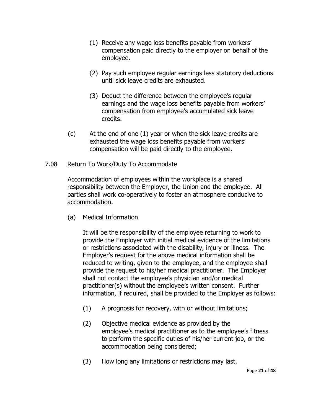- (1) Receive any wage loss benefits payable from workers' compensation paid directly to the employer on behalf of the employee.
- (2) Pay such employee regular earnings less statutory deductions until sick leave credits are exhausted.
- (3) Deduct the difference between the employee's regular earnings and the wage loss benefits payable from workers' compensation from employee's accumulated sick leave credits.
- (c) At the end of one (1) year or when the sick leave credits are exhausted the wage loss benefits payable from workers' compensation will be paid directly to the employee.
- 7.08 Return To Work/Duty To Accommodate

Accommodation of employees within the workplace is a shared responsibility between the Employer, the Union and the employee. All parties shall work co-operatively to foster an atmosphere conducive to accommodation.

(a) Medical Information

It will be the responsibility of the employee returning to work to provide the Employer with initial medical evidence of the limitations or restrictions associated with the disability, injury or illness. The Employer's request for the above medical information shall be reduced to writing, given to the employee, and the employee shall provide the request to his/her medical practitioner. The Employer shall not contact the employee's physician and/or medical practitioner(s) without the employee's written consent. Further information, if required, shall be provided to the Employer as follows:

- (1) A prognosis for recovery, with or without limitations;
- (2) Objective medical evidence as provided by the employee's medical practitioner as to the employee's fitness to perform the specific duties of his/her current job, or the accommodation being considered;
- (3) How long any limitations or restrictions may last.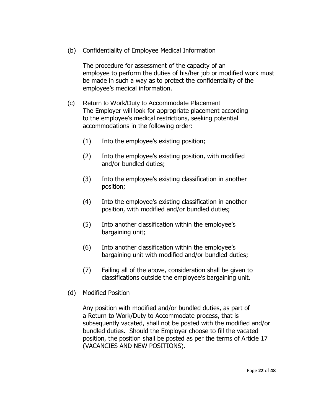(b) Confidentiality of Employee Medical Information

The procedure for assessment of the capacity of an employee to perform the duties of his/her job or modified work must be made in such a way as to protect the confidentiality of the employee's medical information.

- (c) Return to Work/Duty to Accommodate Placement The Employer will look for appropriate placement according to the employee's medical restrictions, seeking potential accommodations in the following order:
	- (1) Into the employee's existing position;
	- (2) Into the employee's existing position, with modified and/or bundled duties;
	- (3) Into the employee's existing classification in another position;
	- (4) Into the employee's existing classification in another position, with modified and/or bundled duties;
	- (5) Into another classification within the employee's bargaining unit;
	- (6) Into another classification within the employee's bargaining unit with modified and/or bundled duties;
	- (7) Failing all of the above, consideration shall be given to classifications outside the employee's bargaining unit.
- (d) Modified Position

Any position with modified and/or bundled duties, as part of a Return to Work/Duty to Accommodate process, that is subsequently vacated, shall not be posted with the modified and/or bundled duties. Should the Employer choose to fill the vacated position, the position shall be posted as per the terms of Article 17 (VACANCIES AND NEW POSITIONS).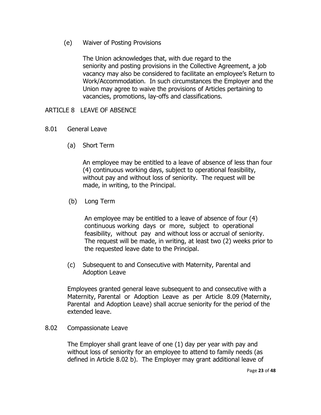(e) Waiver of Posting Provisions

The Union acknowledges that, with due regard to the seniority and posting provisions in the Collective Agreement, a job vacancy may also be considered to facilitate an employee's Return to Work/Accommodation. In such circumstances the Employer and the Union may agree to waive the provisions of Articles pertaining to vacancies, promotions, lay-offs and classifications.

# <span id="page-24-0"></span>ARTICLE 8 LEAVE OF ABSENCE

# 8.01 General Leave

(a) Short Term

An employee may be entitled to a leave of absence of less than four (4) continuous working days, subject to operational feasibility, without pay and without loss of seniority. The request will be made, in writing, to the Principal.

(b) Long Term

An employee may be entitled to a leave of absence of four (4) continuous working days or more, subject to operational feasibility, without pay and without loss or accrual of seniority. The request will be made, in writing, at least two (2) weeks prior to the requested leave date to the Principal.

(c) Subsequent to and Consecutive with Maternity, Parental and Adoption Leave

Employees granted general leave subsequent to and consecutive with a Maternity, Parental or Adoption Leave as per Article 8.09 (Maternity, Parental and Adoption Leave) shall accrue seniority for the period of the extended leave.

# 8.02 Compassionate Leave

The Employer shall grant leave of one (1) day per year with pay and without loss of seniority for an employee to attend to family needs (as defined in Article 8.02 b). The Employer may grant additional leave of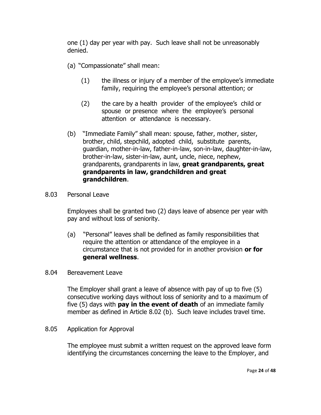one (1) day per year with pay. Such leave shall not be unreasonably denied.

- (a) "Compassionate" shall mean:
	- (1) the illness or injury of a member of the employee's immediate family, requiring the employee's personal attention; or
	- (2) the care by a health provider of the employee's child or spouse or presence where the employee's personal attention or attendance is necessary.
- (b) "Immediate Family" shall mean: spouse, father, mother, sister, brother, child, stepchild, adopted child, substitute parents, guardian, mother-in-law, father-in-law, son-in-law, daughter-in-law, brother-in-law, sister-in-law, aunt, uncle, niece, nephew, grandparents, grandparents in law, **great grandparents, great grandparents in law, grandchildren and great grandchildren**.
- 8.03 Personal Leave

Employees shall be granted two (2) days leave of absence per year with pay and without loss of seniority.

- (a) "Personal" leaves shall be defined as family responsibilities that require the attention or attendance of the employee in a circumstance that is not provided for in another provision **or for general wellness**.
- 8.04 Bereavement Leave

The Employer shall grant a leave of absence with pay of up to five (5) consecutive working days without loss of seniority and to a maximum of five (5) days with **pay in the event of death** of an immediate family member as defined in Article 8.02 (b). Such leave includes travel time.

8.05 Application for Approval

The employee must submit a written request on the approved leave form identifying the circumstances concerning the leave to the Employer, and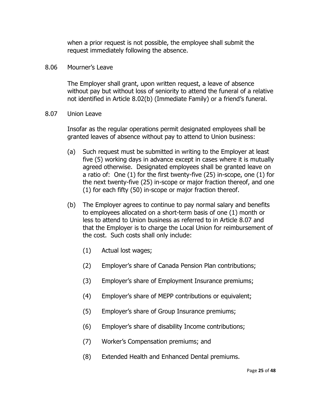when a prior request is not possible, the employee shall submit the request immediately following the absence.

#### 8.06 Mourner's Leave

The Employer shall grant, upon written request, a leave of absence without pay but without loss of seniority to attend the funeral of a relative not identified in Article 8.02(b) (Immediate Family) or a friend's funeral.

8.07 Union Leave

Insofar as the regular operations permit designated employees shall be granted leaves of absence without pay to attend to Union business:

- (a) Such request must be submitted in writing to the Employer at least five (5) working days in advance except in cases where it is mutually agreed otherwise. Designated employees shall be granted leave on a ratio of: One (1) for the first twenty-five (25) in-scope, one (1) for the next twenty-five (25) in-scope or major fraction thereof, and one (1) for each fifty (50) in-scope or major fraction thereof.
- (b) The Employer agrees to continue to pay normal salary and benefits to employees allocated on a short-term basis of one (1) month or less to attend to Union business as referred to in Article 8.07 and that the Employer is to charge the Local Union for reimbursement of the cost. Such costs shall only include:
	- (1) Actual lost wages;
	- (2) Employer's share of Canada Pension Plan contributions;
	- (3) Employer's share of Employment Insurance premiums;
	- (4) Employer's share of MEPP contributions or equivalent;
	- (5) Employer's share of Group Insurance premiums;
	- (6) Employer's share of disability Income contributions;
	- (7) Worker's Compensation premiums; and
	- (8) Extended Health and Enhanced Dental premiums.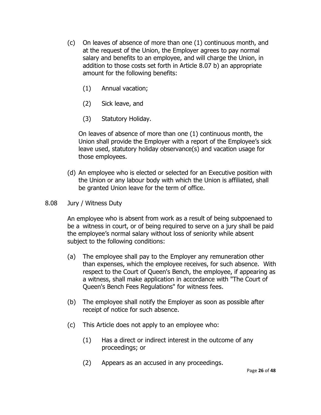- (c) On leaves of absence of more than one (1) continuous month, and at the request of the Union, the Employer agrees to pay normal salary and benefits to an employee, and will charge the Union, in addition to those costs set forth in Article 8.07 b) an appropriate amount for the following benefits:
	- (1) Annual vacation;
	- (2) Sick leave, and
	- (3) Statutory Holiday.

On leaves of absence of more than one (1) continuous month, the Union shall provide the Employer with a report of the Employee's sick leave used, statutory holiday observance(s) and vacation usage for those employees.

- (d) An employee who is elected or selected for an Executive position with the Union or any labour body with which the Union is affiliated, shall be granted Union leave for the term of office.
- 8.08 Jury / Witness Duty

An employee who is absent from work as a result of being subpoenaed to be a witness in court, or of being required to serve on a jury shall be paid the employee's normal salary without loss of seniority while absent subject to the following conditions:

- (a) The employee shall pay to the Employer any remuneration other than expenses, which the employee receives, for such absence. With respect to the Court of Queen's Bench, the employee, if appearing as a witness, shall make application in accordance with "The Court of Queen's Bench Fees Regulations" for witness fees.
- (b) The employee shall notify the Employer as soon as possible after receipt of notice for such absence.
- (c) This Article does not apply to an employee who:
	- (1) Has a direct or indirect interest in the outcome of any proceedings; or
	- (2) Appears as an accused in any proceedings.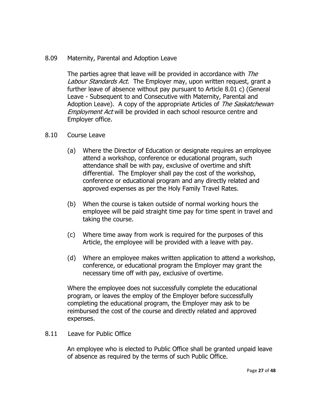8.09 Maternity, Parental and Adoption Leave

The parties agree that leave will be provided in accordance with The Labour Standards Act. The Employer may, upon written request, grant a further leave of absence without pay pursuant to Article 8.01 c) (General Leave - Subsequent to and Consecutive with Maternity, Parental and Adoption Leave). A copy of the appropriate Articles of The Saskatchewan Employment Act will be provided in each school resource centre and Employer office.

- 8.10 Course Leave
	- (a) Where the Director of Education or designate requires an employee attend a workshop, conference or educational program, such attendance shall be with pay, exclusive of overtime and shift differential. The Employer shall pay the cost of the workshop, conference or educational program and any directly related and approved expenses as per the Holy Family Travel Rates.
	- (b) When the course is taken outside of normal working hours the employee will be paid straight time pay for time spent in travel and taking the course.
	- (c) Where time away from work is required for the purposes of this Article, the employee will be provided with a leave with pay.
	- (d) Where an employee makes written application to attend a workshop, conference, or educational program the Employer may grant the necessary time off with pay, exclusive of overtime.

Where the employee does not successfully complete the educational program, or leaves the employ of the Employer before successfully completing the educational program, the Employer may ask to be reimbursed the cost of the course and directly related and approved expenses.

# 8.11 Leave for Public Office

An employee who is elected to Public Office shall be granted unpaid leave of absence as required by the terms of such Public Office.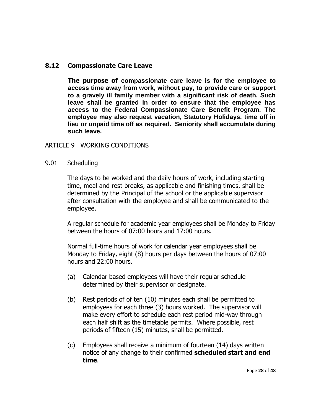# **8.12 Compassionate Care Leave**

**The purpose of compassionate care leave is for the employee to access time away from work, without pay, to provide care or support to a gravely ill family member with a significant risk of death. Such leave shall be granted in order to ensure that the employee has access to the Federal Compassionate Care Benefit Program. The employee may also request vacation, Statutory Holidays, time off in lieu or unpaid time off as required. Seniority shall accumulate during such leave.**

# <span id="page-29-0"></span>ARTICLE 9 WORKING CONDITIONS

#### 9.01 Scheduling

The days to be worked and the daily hours of work, including starting time, meal and rest breaks, as applicable and finishing times, shall be determined by the Principal of the school or the applicable supervisor after consultation with the employee and shall be communicated to the employee.

A regular schedule for academic year employees shall be Monday to Friday between the hours of 07:00 hours and 17:00 hours.

Normal full-time hours of work for calendar year employees shall be Monday to Friday, eight (8) hours per days between the hours of 07:00 hours and 22:00 hours.

- (a) Calendar based employees will have their regular schedule determined by their supervisor or designate.
- (b) Rest periods of of ten (10) minutes each shall be permitted to employees for each three (3) hours worked. The supervisor will make every effort to schedule each rest period mid-way through each half shift as the timetable permits. Where possible, rest periods of fifteen (15) minutes, shall be permitted.
- (c) Employees shall receive a minimum of fourteen (14) days written notice of any change to their confirmed **scheduled start and end time**.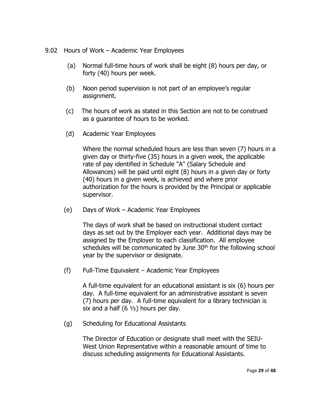- 9.02 Hours of Work Academic Year Employees
	- (a) Normal full-time hours of work shall be eight (8) hours per day, or forty (40) hours per week.
	- (b) Noon period supervision is not part of an employee's regular assignment.
	- (c) The hours of work as stated in this Section are not to be construed as a guarantee of hours to be worked.
	- (d) Academic Year Employees

Where the normal scheduled hours are less than seven (7) hours in a given day or thirty-five (35) hours in a given week, the applicable rate of pay identified in Schedule "A" (Salary Schedule and Allowances) will be paid until eight (8) hours in a given day or forty (40) hours in a given week, is achieved and where prior authorization for the hours is provided by the Principal or applicable supervisor.

(e) Days of Work – Academic Year Employees

The days of work shall be based on instructional student contact days as set out by the Employer each year. Additional days may be assigned by the Employer to each classification. All employee schedules will be communicated by June 30<sup>th</sup> for the following school year by the supervisor or designate.

(f) Full-Time Equivalent – Academic Year Employees

A full-time equivalent for an educational assistant is six (6) hours per day. A full-time equivalent for an administrative assistant is seven (7) hours per day. A full-time equivalent for a library technician is six and a half  $(6 \frac{1}{2})$  hours per day.

(g) Scheduling for Educational Assistants

The Director of Education or designate shall meet with the SEIU-West Union Representative within a reasonable amount of time to discuss scheduling assignments for Educational Assistants.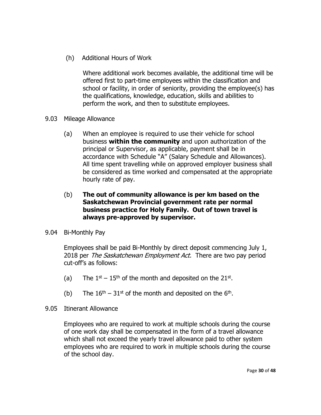(h) Additional Hours of Work

Where additional work becomes available, the additional time will be offered first to part-time employees within the classification and school or facility, in order of seniority, providing the employee(s) has the qualifications, knowledge, education, skills and abilities to perform the work, and then to substitute employees.

- 9.03 Mileage Allowance
	- (a) When an employee is required to use their vehicle for school business **within the community** and upon authorization of the principal or Supervisor, as applicable, payment shall be in accordance with Schedule "A" (Salary Schedule and Allowances). All time spent travelling while on approved employer business shall be considered as time worked and compensated at the appropriate hourly rate of pay.

# (b) **The out of community allowance is per km based on the Saskatchewan Provincial government rate per normal business practice for Holy Family. Out of town travel is always pre-approved by supervisor.**

9.04 Bi-Monthly Pay

Employees shall be paid Bi-Monthly by direct deposit commencing July 1, 2018 per The Saskatchewan Employment Act. There are two pay period cut-off's as follows:

- (a) The  $1^{st}$  15<sup>th</sup> of the month and deposited on the 21st.
- (b) The  $16<sup>th</sup> 31<sup>st</sup>$  of the month and deposited on the  $6<sup>th</sup>$ .
- 9.05 Itinerant Allowance

Employees who are required to work at multiple schools during the course of one work day shall be compensated in the form of a travel allowance which shall not exceed the yearly travel allowance paid to other system employees who are required to work in multiple schools during the course of the school day.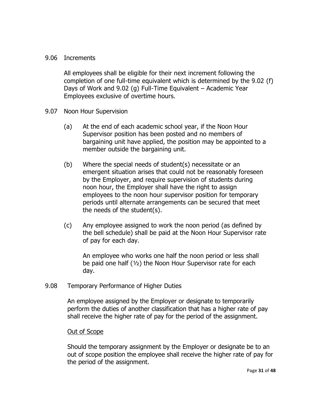# 9.06 Increments

All employees shall be eligible for their next increment following the completion of one full-time equivalent which is determined by the 9.02 (f) Days of Work and 9.02 (g) Full-Time Equivalent – Academic Year Employees exclusive of overtime hours.

- 9.07 Noon Hour Supervision
	- (a) At the end of each academic school year, if the Noon Hour Supervisor position has been posted and no members of bargaining unit have applied, the position may be appointed to a member outside the bargaining unit.
	- (b) Where the special needs of student(s) necessitate or an emergent situation arises that could not be reasonably foreseen by the Employer, and require supervision of students during noon hour, the Employer shall have the right to assign employees to the noon hour supervisor position for temporary periods until alternate arrangements can be secured that meet the needs of the student(s).
	- (c) Any employee assigned to work the noon period (as defined by the bell schedule) shall be paid at the Noon Hour Supervisor rate of pay for each day.

An employee who works one half the noon period or less shall be paid one half (½) the Noon Hour Supervisor rate for each day.

9.08 Temporary Performance of Higher Duties

An employee assigned by the Employer or designate to temporarily perform the duties of another classification that has a higher rate of pay shall receive the higher rate of pay for the period of the assignment.

# Out of Scope

Should the temporary assignment by the Employer or designate be to an out of scope position the employee shall receive the higher rate of pay for the period of the assignment.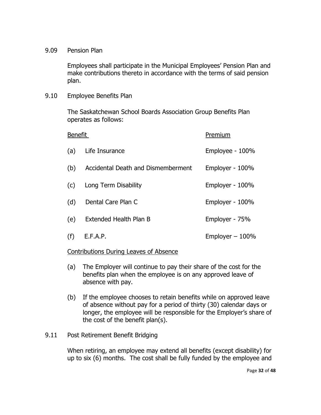9.09 Pension Plan

Employees shall participate in the Municipal Employees' Pension Plan and make contributions thereto in accordance with the terms of said pension plan.

9.10 Employee Benefits Plan

The Saskatchewan School Boards Association Group Benefits Plan operates as follows:

| <b>Benefit</b> |                                    | Premium           |
|----------------|------------------------------------|-------------------|
| (a)            | Life Insurance                     | Employee - 100%   |
| (b)            | Accidental Death and Dismemberment | Employer - 100%   |
| (c)            | Long Term Disability               | Employer - 100%   |
| (d)            | Dental Care Plan C                 | Employer - 100%   |
| (e)            | Extended Health Plan B             | Employer - 75%    |
| (f)            | E.F.A.P.                           | Employer $-100\%$ |

# Contributions During Leaves of Absence

- (a) The Employer will continue to pay their share of the cost for the benefits plan when the employee is on any approved leave of absence with pay.
- (b) If the employee chooses to retain benefits while on approved leave of absence without pay for a period of thirty (30) calendar days or longer, the employee will be responsible for the Employer's share of the cost of the benefit plan(s).

# 9.11 Post Retirement Benefit Bridging

When retiring, an employee may extend all benefits (except disability) for up to six (6) months. The cost shall be fully funded by the employee and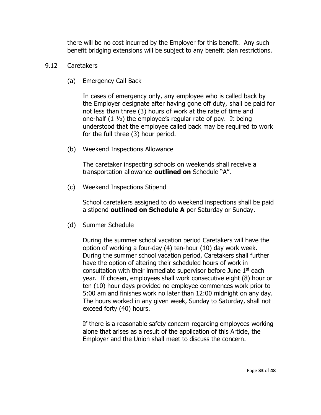there will be no cost incurred by the Employer for this benefit. Any such benefit bridging extensions will be subject to any benefit plan restrictions.

#### 9.12 Caretakers

(a) Emergency Call Back

In cases of emergency only, any employee who is called back by the Employer designate after having gone off duty, shall be paid for not less than three (3) hours of work at the rate of time and one-half  $(1 \frac{1}{2})$  the employee's regular rate of pay. It being understood that the employee called back may be required to work for the full three (3) hour period.

(b) Weekend Inspections Allowance

The caretaker inspecting schools on weekends shall receive a transportation allowance **outlined on** Schedule "A".

(c) Weekend Inspections Stipend

School caretakers assigned to do weekend inspections shall be paid a stipend **outlined on Schedule A** per Saturday or Sunday.

(d) Summer Schedule

During the summer school vacation period Caretakers will have the option of working a four-day (4) ten-hour (10) day work week. During the summer school vacation period, Caretakers shall further have the option of altering their scheduled hours of work in consultation with their immediate supervisor before June  $1<sup>st</sup>$  each year. If chosen, employees shall work consecutive eight (8) hour or ten (10) hour days provided no employee commences work prior to 5:00 am and finishes work no later than 12:00 midnight on any day. The hours worked in any given week, Sunday to Saturday, shall not exceed forty (40) hours.

If there is a reasonable safety concern regarding employees working alone that arises as a result of the application of this Article, the Employer and the Union shall meet to discuss the concern.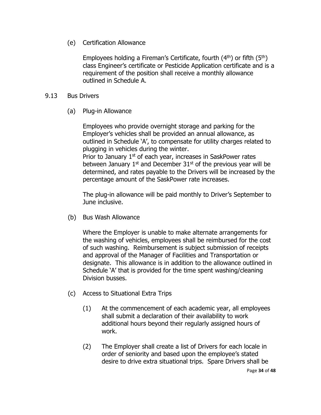(e) Certification Allowance

Employees holding a Fireman's Certificate, fourth  $(4<sup>th</sup>)$  or fifth  $(5<sup>th</sup>)$ class Engineer's certificate or Pesticide Application certificate and is a requirement of the position shall receive a monthly allowance outlined in Schedule A.

# 9.13 Bus Drivers

(a) Plug-in Allowance

Employees who provide overnight storage and parking for the Employer's vehicles shall be provided an annual allowance, as outlined in Schedule 'A', to compensate for utility charges related to plugging in vehicles during the winter. Prior to January 1<sup>st</sup> of each year, increases in SaskPower rates between January  $1<sup>st</sup>$  and December  $31<sup>st</sup>$  of the previous year will be

determined, and rates payable to the Drivers will be increased by the percentage amount of the SaskPower rate increases.

The plug-in allowance will be paid monthly to Driver's September to June inclusive.

(b) Bus Wash Allowance

Where the Employer is unable to make alternate arrangements for the washing of vehicles, employees shall be reimbursed for the cost of such washing. Reimbursement is subject submission of receipts and approval of the Manager of Facilities and Transportation or designate. This allowance is in addition to the allowance outlined in Schedule 'A' that is provided for the time spent washing/cleaning Division busses.

- (c) Access to Situational Extra Trips
	- (1) At the commencement of each academic year, all employees shall submit a declaration of their availability to work additional hours beyond their regularly assigned hours of work.
	- (2) The Employer shall create a list of Drivers for each locale in order of seniority and based upon the employee's stated desire to drive extra situational trips. Spare Drivers shall be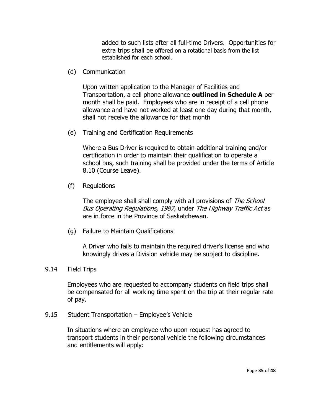added to such lists after all full-time Drivers. Opportunities for extra trips shall be offered on a rotational basis from the list established for each school.

(d) Communication

Upon written application to the Manager of Facilities and Transportation, a cell phone allowance **outlined in Schedule A** per month shall be paid. Employees who are in receipt of a cell phone allowance and have not worked at least one day during that month, shall not receive the allowance for that month

(e) Training and Certification Requirements

Where a Bus Driver is required to obtain additional training and/or certification in order to maintain their qualification to operate a school bus, such training shall be provided under the terms of Article 8.10 (Course Leave).

(f) Regulations

The employee shall shall comply with all provisions of The School Bus Operating Regulations, 1987, under The Highway Traffic Act as are in force in the Province of Saskatchewan.

(g) Failure to Maintain Qualifications

A Driver who fails to maintain the required driver's license and who knowingly drives a Division vehicle may be subject to discipline.

#### 9.14 Field Trips

Employees who are requested to accompany students on field trips shall be compensated for all working time spent on the trip at their regular rate of pay.

9.15 Student Transportation – Employee's Vehicle

In situations where an employee who upon request has agreed to transport students in their personal vehicle the following circumstances and entitlements will apply: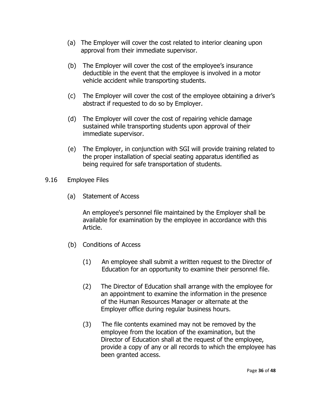- (a) The Employer will cover the cost related to interior cleaning upon approval from their immediate supervisor.
- (b) The Employer will cover the cost of the employee's insurance deductible in the event that the employee is involved in a motor vehicle accident while transporting students.
- (c) The Employer will cover the cost of the employee obtaining a driver's abstract if requested to do so by Employer.
- (d) The Employer will cover the cost of repairing vehicle damage sustained while transporting students upon approval of their immediate supervisor.
- (e) The Employer, in conjunction with SGI will provide training related to the proper installation of special seating apparatus identified as being required for safe transportation of students.
- 9.16 Employee Files
	- (a) Statement of Access

An employee's personnel file maintained by the Employer shall be available for examination by the employee in accordance with this Article.

- (b) Conditions of Access
	- (1) An employee shall submit a written request to the Director of Education for an opportunity to examine their personnel file.
	- (2) The Director of Education shall arrange with the employee for an appointment to examine the information in the presence of the Human Resources Manager or alternate at the Employer office during regular business hours.
	- (3) The file contents examined may not be removed by the employee from the location of the examination, but the Director of Education shall at the request of the employee, provide a copy of any or all records to which the employee has been granted access.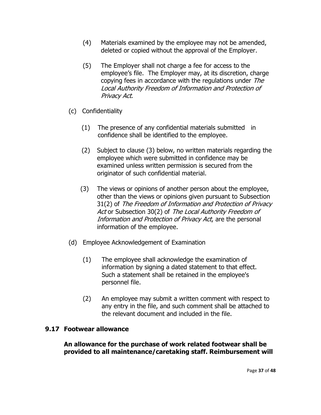- (4) Materials examined by the employee may not be amended, deleted or copied without the approval of the Employer.
- (5) The Employer shall not charge a fee for access to the employee's file. The Employer may, at its discretion, charge copying fees in accordance with the regulations under The Local Authority Freedom of Information and Protection of Privacy Act.
- (c) Confidentiality
	- (1) The presence of any confidential materials submitted in confidence shall be identified to the employee.
	- (2) Subject to clause (3) below, no written materials regarding the employee which were submitted in confidence may be examined unless written permission is secured from the originator of such confidential material.
	- (3) The views or opinions of another person about the employee, other than the views or opinions given pursuant to Subsection 31(2) of The Freedom of Information and Protection of Privacy Act or Subsection 30(2) of The Local Authority Freedom of Information and Protection of Privacy Act, are the personal information of the employee.
- (d) Employee Acknowledgement of Examination
	- (1) The employee shall acknowledge the examination of information by signing a dated statement to that effect. Such a statement shall be retained in the employee's personnel file.
	- (2) An employee may submit a written comment with respect to any entry in the file, and such comment shall be attached to the relevant document and included in the file.

# **9.17 Footwear allowance**

**An allowance for the purchase of work related footwear shall be provided to all maintenance/caretaking staff. Reimbursement will**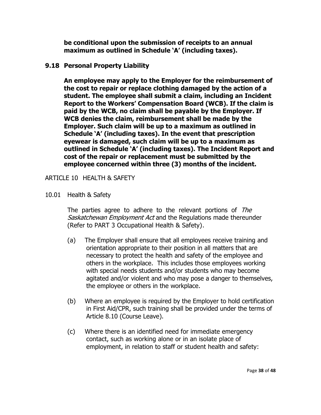**be conditional upon the submission of receipts to an annual maximum as outlined in Schedule 'A' (including taxes).**

# **9.18 Personal Property Liability**

**An employee may apply to the Employer for the reimbursement of the cost to repair or replace clothing damaged by the action of a student. The employee shall submit a claim, including an Incident Report to the Workers' Compensation Board (WCB). If the claim is paid by the WCB, no claim shall be payable by the Employer. If WCB denies the claim, reimbursement shall be made by the Employer. Such claim will be up to a maximum as outlined in Schedule 'A' (including taxes). In the event that prescription eyewear is damaged, such claim will be up to a maximum as outlined in Schedule 'A' (including taxes). The Incident Report and cost of the repair or replacement must be submitted by the employee concerned within three (3) months of the incident.**

<span id="page-39-0"></span>ARTICLE 10 HEALTH & SAFETY

10.01 Health & Safety

The parties agree to adhere to the relevant portions of The Saskatchewan Employment Act and the Regulations made thereunder (Refer to PART 3 Occupational Health & Safety).

- (a) The Employer shall ensure that all employees receive training and orientation appropriate to their position in all matters that are necessary to protect the health and safety of the employee and others in the workplace. This includes those employees working with special needs students and/or students who may become agitated and/or violent and who may pose a danger to themselves, the employee or others in the workplace.
- (b) Where an employee is required by the Employer to hold certification in First Aid/CPR, such training shall be provided under the terms of Article 8.10 (Course Leave).
- (c) Where there is an identified need for immediate emergency contact, such as working alone or in an isolate place of employment, in relation to staff or student health and safety: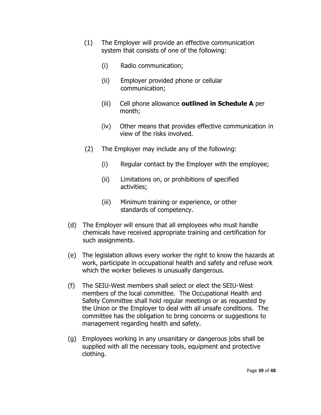- (1) The Employer will provide an effective communication system that consists of one of the following:
	- (i) Radio communication;
	- (ii) Employer provided phone or cellular communication;
	- (iii) Cell phone allowance **outlined in Schedule A** per month;
	- (iv) Other means that provides effective communication in view of the risks involved.
- (2) The Employer may include any of the following:
	- (i) Regular contact by the Employer with the employee;
	- (ii) Limitations on, or prohibitions of specified activities;
	- (iii) Minimum training or experience, or other standards of competency.
- (d) The Employer will ensure that all employees who must handle chemicals have received appropriate training and certification for such assignments.
- (e) The legislation allows every worker the right to know the hazards at work, participate in occupational health and safety and refuse work which the worker believes is unusually dangerous.
- (f) The SEIU-West members shall select or elect the SEIU-West members of the local committee. The Occupational Health and Safety Committee shall hold regular meetings or as requested by the Union or the Employer to deal with all unsafe conditions. The committee has the obligation to bring concerns or suggestions to management regarding health and safety.
- (g) Employees working in any unsanitary or dangerous jobs shall be supplied with all the necessary tools, equipment and protective clothing.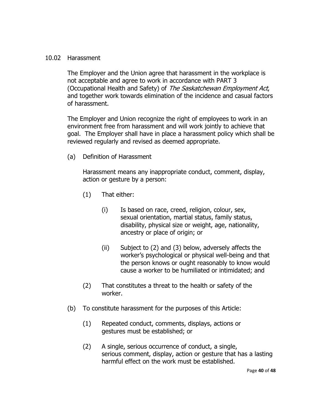### 10.02 Harassment

The Employer and the Union agree that harassment in the workplace is not acceptable and agree to work in accordance with PART 3 (Occupational Health and Safety) of The Saskatchewan Employment Act, and together work towards elimination of the incidence and casual factors of harassment.

The Employer and Union recognize the right of employees to work in an environment free from harassment and will work jointly to achieve that goal. The Employer shall have in place a harassment policy which shall be reviewed regularly and revised as deemed appropriate.

(a) Definition of Harassment

Harassment means any inappropriate conduct, comment, display, action or gesture by a person:

- (1) That either:
	- (i) Is based on race, creed, religion, colour, sex, sexual orientation, martial status, family status, disability, physical size or weight, age, nationality, ancestry or place of origin; or
	- (ii) Subject to (2) and (3) below, adversely affects the worker's psychological or physical well-being and that the person knows or ought reasonably to know would cause a worker to be humiliated or intimidated; and
- (2) That constitutes a threat to the health or safety of the worker.
- (b) To constitute harassment for the purposes of this Article:
	- (1) Repeated conduct, comments, displays, actions or gestures must be established; or
	- (2) A single, serious occurrence of conduct, a single, serious comment, display, action or gesture that has a lasting harmful effect on the work must be established.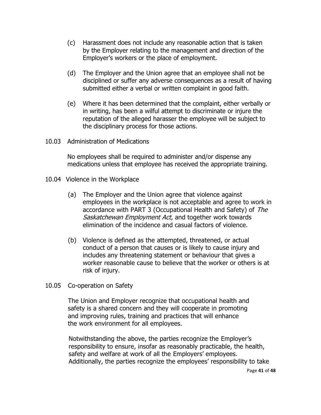- (c) Harassment does not include any reasonable action that is taken by the Employer relating to the management and direction of the Employer's workers or the place of employment.
- (d) The Employer and the Union agree that an employee shall not be disciplined or suffer any adverse consequences as a result of having submitted either a verbal or written complaint in good faith.
- (e) Where it has been determined that the complaint, either verbally or in writing, has been a wilful attempt to discriminate or injure the reputation of the alleged harasser the employee will be subject to the disciplinary process for those actions.
- 10.03 Administration of Medications

No employees shall be required to administer and/or dispense any medications unless that employee has received the appropriate training.

- 10.04 Violence in the Workplace
	- (a) The Employer and the Union agree that violence against employees in the workplace is not acceptable and agree to work in accordance with PART 3 (Occupational Health and Safety) of The Saskatchewan Employment Act, and together work towards elimination of the incidence and casual factors of violence.
	- (b) Violence is defined as the attempted, threatened, or actual conduct of a person that causes or is likely to cause injury and includes any threatening statement or behaviour that gives a worker reasonable cause to believe that the worker or others is at risk of injury.
- 10.05 Co-operation on Safety

 The Union and Employer recognize that occupational health and safety is a shared concern and they will cooperate in promoting and improving rules, training and practices that will enhance the work environment for all employees.

Notwithstanding the above, the parties recognize the Employer's responsibility to ensure, insofar as reasonably practicable, the health, safety and welfare at work of all the Employers' employees. Additionally, the parties recognize the employees' responsibility to take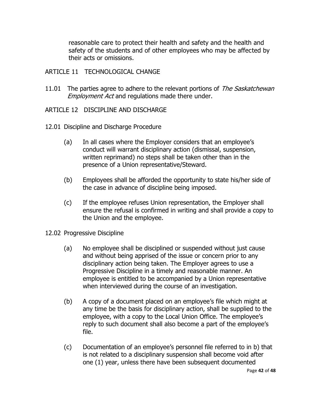reasonable care to protect their health and safety and the health and safety of the students and of other employees who may be affected by their acts or omissions.

#### <span id="page-43-0"></span>ARTICLE 11 TECHNOLOGICAL CHANGE

11.01 The parties agree to adhere to the relevant portions of The Saskatchewan **Employment Act and regulations made there under.** 

#### <span id="page-43-1"></span>ARTICLE 12 DISCIPLINE AND DISCHARGE

- 12.01 Discipline and Discharge Procedure
	- (a) In all cases where the Employer considers that an employee's conduct will warrant disciplinary action (dismissal, suspension, written reprimand) no steps shall be taken other than in the presence of a Union representative/Steward.
	- (b) Employees shall be afforded the opportunity to state his/her side of the case in advance of discipline being imposed.
	- (c) If the employee refuses Union representation, the Employer shall ensure the refusal is confirmed in writing and shall provide a copy to the Union and the employee.
- 12.02 Progressive Discipline
	- (a) No employee shall be disciplined or suspended without just cause and without being apprised of the issue or concern prior to any disciplinary action being taken. The Employer agrees to use a Progressive Discipline in a timely and reasonable manner. An employee is entitled to be accompanied by a Union representative when interviewed during the course of an investigation.
	- (b) A copy of a document placed on an employee's file which might at any time be the basis for disciplinary action, shall be supplied to the employee, with a copy to the Local Union Office. The employee's reply to such document shall also become a part of the employee's file.
	- (c) Documentation of an employee's personnel file referred to in b) that is not related to a disciplinary suspension shall become void after one (1) year, unless there have been subsequent documented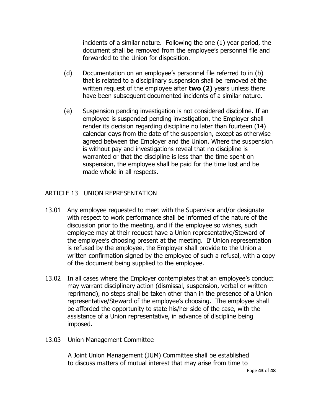incidents of a similar nature. Following the one (1) year period, the document shall be removed from the employee's personnel file and forwarded to the Union for disposition.

- (d) Documentation on an employee's personnel file referred to in (b) that is related to a disciplinary suspension shall be removed at the written request of the employee after **two (2)** years unless there have been subsequent documented incidents of a similar nature.
- (e) Suspension pending investigation is not considered discipline. If an employee is suspended pending investigation, the Employer shall render its decision regarding discipline no later than fourteen (14) calendar days from the date of the suspension, except as otherwise agreed between the Employer and the Union. Where the suspension is without pay and investigations reveal that no discipline is warranted or that the discipline is less than the time spent on suspension, the employee shall be paid for the time lost and be made whole in all respects.

# <span id="page-44-0"></span>ARTICLE 13 UNION REPRESENTATION

- 13.01 Any employee requested to meet with the Supervisor and/or designate with respect to work performance shall be informed of the nature of the discussion prior to the meeting, and if the employee so wishes, such employee may at their request have a Union representative/Steward of the employee's choosing present at the meeting. If Union representation is refused by the employee, the Employer shall provide to the Union a written confirmation signed by the employee of such a refusal, with a copy of the document being supplied to the employee.
- 13.02 In all cases where the Employer contemplates that an employee's conduct may warrant disciplinary action (dismissal, suspension, verbal or written reprimand), no steps shall be taken other than in the presence of a Union representative/Steward of the employee's choosing. The employee shall be afforded the opportunity to state his/her side of the case, with the assistance of a Union representative, in advance of discipline being imposed.
- 13.03 Union Management Committee

 A Joint Union Management (JUM) Committee shall be established to discuss matters of mutual interest that may arise from time to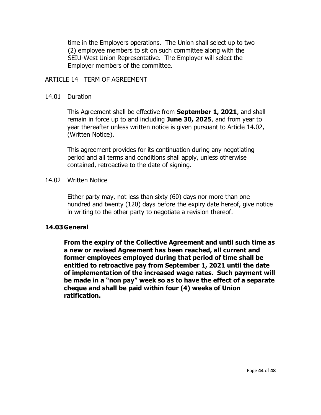time in the Employers operations. The Union shall select up to two (2) employee members to sit on such committee along with the SEIU-West Union Representative. The Employer will select the Employer members of the committee.

#### <span id="page-45-0"></span>ARTICLE 14 TERM OF AGREEMENT

#### 14.01 Duration

This Agreement shall be effective from **September 1, 2021**, and shall remain in force up to and including **June 30, 2025**, and from year to year thereafter unless written notice is given pursuant to Article 14.02, (Written Notice).

This agreement provides for its continuation during any negotiating period and all terms and conditions shall apply, unless otherwise contained, retroactive to the date of signing.

#### 14.02 Written Notice

Either party may, not less than sixty (60) days nor more than one hundred and twenty (120) days before the expiry date hereof, give notice in writing to the other party to negotiate a revision thereof.

# **14.03General**

**From the expiry of the Collective Agreement and until such time as a new or revised Agreement has been reached, all current and former employees employed during that period of time shall be entitled to retroactive pay from September 1, 2021 until the date of implementation of the increased wage rates. Such payment will be made in a "non pay" week so as to have the effect of a separate cheque and shall be paid within four (4) weeks of Union ratification.**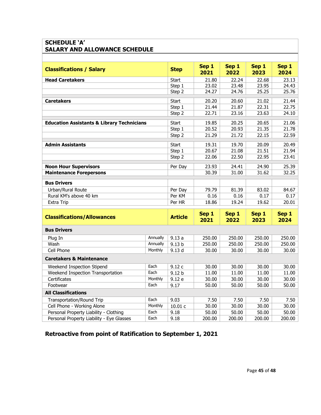# **SCHEDULE 'A' SALARY AND ALLOWANCE SCHEDULE**

| <b>Classifications / Salary</b>                       |          | <b>Step</b>       | Sep 1<br>2021 | Sep 1<br>2022 | Sep 1<br>2023 | Sep 1<br>2024 |  |
|-------------------------------------------------------|----------|-------------------|---------------|---------------|---------------|---------------|--|
| <b>Head Caretakers</b>                                |          | <b>Start</b>      | 21.80         | 22.24         | 22.68         | 23.13         |  |
|                                                       |          | Step 1            | 23.02         | 23.48         | 23.95         | 24.43         |  |
|                                                       |          | Step 2            | 24.27         | 24.76         | 25.25         | 25.76         |  |
| Caretakers                                            |          | Start             | 20.20         | 20.60         | 21.02         | 21.44         |  |
|                                                       |          | Step 1            | 21.44         | 21.87         | 22.31         | 22.75         |  |
|                                                       |          | Step 2            | 22.71         | 23.16         | 23.63         | 24.10         |  |
| <b>Education Assistants &amp; Library Technicians</b> |          | <b>Start</b>      | 19.85         | 20.25         | 20.65         | 21.06         |  |
|                                                       |          | Step 1            | 20.52         | 20.93         | 21.35         | 21.78         |  |
|                                                       |          | Step 2            | 21.29         | 21.72         | 22.15         | 22.59         |  |
| <b>Admin Assistants</b>                               |          | <b>Start</b>      | 19.31         | 19.70         | 20.09         | 20.49         |  |
|                                                       |          | Step 1            | 20.67         | 21.08         | 21.51         | 21.94         |  |
|                                                       |          | Step 2            | 22.06         | 22.50         | 22.95         | 23.41         |  |
| <b>Noon Hour Supervisors</b>                          |          | Per Day           | 23.93         | 24.41         | 24.90         | 25.39         |  |
| <b>Maintenance Forepersons</b>                        |          |                   | 30.39         | 31.00         | 31.62         | 32.25         |  |
| <b>Bus Drivers</b>                                    |          |                   |               |               |               |               |  |
| Urban/Rural Route                                     |          | Per Day           | 79.79         | 81.39         | 83.02         | 84.67         |  |
| Rural KM's above 40 km                                |          | Per KM            | 0.16          | 0.16          | 0.17          | 0.17          |  |
| <b>Extra Trip</b>                                     |          | Per HR            | 18.86         | 19.24         | 19.62         | 20.01         |  |
|                                                       |          |                   |               |               |               |               |  |
| <b>Classifications/Allowances</b>                     |          | <b>Article</b>    | Sep 1<br>2021 | Sep 1<br>2022 | Sep 1<br>2023 | Sep 1<br>2024 |  |
| <b>Bus Drivers</b>                                    |          |                   |               |               |               |               |  |
| Plug In                                               | Annually | 9.13a             | 250.00        | 250.00        | 250.00        | 250.00        |  |
| Wash                                                  | Annually | 9.13 <sub>b</sub> | 250.00        | 250.00        | 250.00        | 250.00        |  |
| Cell Phone                                            | Monthly  | 9.13 <sub>d</sub> | 30.00         | 30.00         | 30.00         | 30.00         |  |
| <b>Caretakers &amp; Maintenance</b>                   |          |                   |               |               |               |               |  |
| Weekend Inspection Stipend                            | Each     | 9.12 c            | 30.00         | 30.00         | 30.00         | 30.00         |  |
| Weekend Inspection Transportation                     | Each     | 9.12 <sub>b</sub> | 11.00         | 11.00         | 11.00         | 11.00         |  |
| Certificates                                          | Monthly  | 9.12 e            | 30.00         | 30.00         | 30.00         | 30.00         |  |
| Footwear                                              | Each     | 9.17              | 50.00         | 50.00         | 50.00         | 50.00         |  |
| <b>All Classifications</b>                            |          |                   |               |               |               |               |  |
| <b>Transportation/Round Trip</b>                      | Each     | 9.03              | 7.50          | 7.50          | 7.50          | 7.50          |  |
| Cell Phone - Working Alone                            | Monthly  | 10.01 c           | 30.00         | 30.00         | 30.00         | 30.00         |  |
| Personal Property Liability - Clothing                | Each     | 9.18              | 50.00         | 50.00         | 50.00         | 50.00         |  |
| Personal Property Liability - Eye Glasses             | Each     | 9.18              | 200.00        | 200.00        | 200.00        | 200.00        |  |

**Retroactive from point of Ratification to September 1, 2021**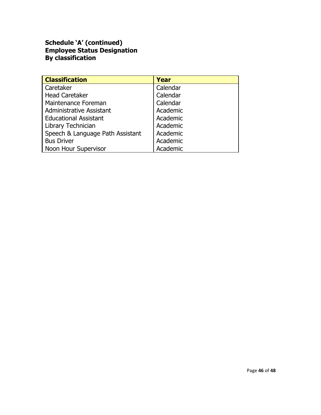# **Schedule 'A' (continued) Employee Status Designation By classification**

| <b>Classification</b>            | Year     |
|----------------------------------|----------|
| Caretaker                        | Calendar |
| <b>Head Caretaker</b>            | Calendar |
| Maintenance Foreman              | Calendar |
| Administrative Assistant         | Academic |
| <b>Educational Assistant</b>     | Academic |
| Library Technician               | Academic |
| Speech & Language Path Assistant | Academic |
| <b>Bus Driver</b>                | Academic |
| Noon Hour Supervisor             | Academic |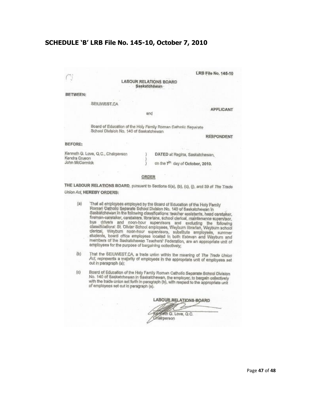#### **SCHEDULE 'B' LRB File No. 145-10, October 7, 2010**

ij

**LABOUR RELATIONS BOARD** Saskatchewan

#### **BETWEEN:**

SEIUWEST.CA

**APPLICANT** 

LRB File No. 145-10

Board of Education of the Holy Family Roman Catholic Separate School Division No. 140 of Saskatchewan

and

**RESPONDENT** 

#### BEFORE:

Kenneth G. Love, Q.C., Chairperson Kendra Cruson John McCormick

DATED at Regina, Saskatchewan,

on the 7th day of October, 2010.

#### ORDER

THE LABOUR RELATIONS BOARD, pursuant to Sections 5(a), (b), (c), (j), and 39 of The Trade **Union Act, HEREBY ORDERS:** 

- $(a)$ That all employees employed by the Board of Education of the Holy Pamily Roman Catholic Separate School Division No. 140 of Saskatchewan in Saskatchewan in the following classifications: teacher assistants, head caretaker, the man-caretaker, caretakers, librarians, school derical, maintenance supervisor, bus drivers and noon-hour supervisors and excluding the following<br>classifications: St. Olivier School employees, Weyburn librarian, Weyburn school siassinuations, or, onvier scribbi employees, weyburn librarian, weyburn school<br>clerical, Weyburn noon-hour supervisors, substitute employees, summer<br>eftiriente board office employees leaded to board students, board office employees located in both Estevan and Weyburn and members of the Saskatchewan Teachers' Federation, are an appropriate unit of employees for the purpose of bargaining collectively;
- $(b)$ That the SEIUWEST.CA, a trade union within the meaning of The Trade Union Act, represents a majority of employees in the appropriate unit of employees set out in paragraph (a);
- Board of Education of the Holy Family Roman Catholic Separate School Division  $(c)$ No. 140 of Saskatchewan in Saskatchewan, the employer, to bargain collectively with the trade union set forth in paragraph (b), with respect to the appropriate unit of employees set out in paragraph (a).

LABOUR RELATIONS BOARD

Kenneth G. Love, Q.C. Chairperson